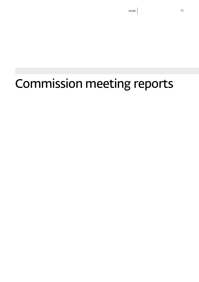Commission meeting reports

# NAIIC 71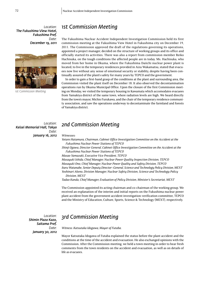*Location: The Fukushima View Hotel, Fukushima Pref. Date: December 19, 2011*



*1st Commission Meeting*

### *1st Commission Meeting*

The Fukushima Nuclear Accident Independent Investigation Commission held its first commission meeting at the Fukushima View Hotel in Fukushima city on December 19, 2011. The Commission approved the draft of the regulations governing its operations, appointed a project manager, decided on the structure of working groups and its office and officially started its activities. There was also a report from commission member Reiko Hachisuka, on the tough conditions the affected people are in today. Ms. Hachisuka, who moved from her home in Okuma, where the Fukushima Daiichi nuclear power plant is located, to live in the temporary residences provided in Aizu Wakamatsu, stated that evacuees now live without any sense of emotional security or stability, despite having been continually assured of the plant's safety for many years by TEPCO and the government.

In order to gain a first-hand grasp of the conditions at the plant and surrounding area, the Commission visited the plant itself on December 18. It also observed the decontamination operations run by Okuma Municipal Office. Upon the closure of the first Commission meeting on Monday, we visited the temporary housing in Kawamata which accomodates evacuees from Yamakiya district of the same town, where radiation levels are high. We heard directly from the town's mayor, Michio Furukawa, and the chair of the temporary residence community association, and saw the operations underway to decontaminate the farmland and forests of Yamakiya district.

*Location: Keisei Memorial Hall, Tokyo Date: January 16, 2012* 

#### *2nd Commission Meeting*

#### *Witnesses:*

*Yotaro Hatamura, Chairman, Cabinet Office Investigation Committee on the Accident at the Fukushima Nuclear Power Stations of TEPCO*

*Shinji Ogawa, Director General, Cabinet Office Investigation Committee on the Accident at the Fukushima Nuclear Power Stations of TEPCO*

*Masao Yamazaki, Executive Vice President, TEPCO*

*Masayuki Ishida, Chief Manager, Nuclear Power Quality Inspection Division, TEPCO Masayuki Ono, Chief Manager, Nuclear Power Quality and Safety Division, TEPCO Itaru Watanabe, Senior Deputy Director–General, Science and Technology Policy Division, MEXT Yoshinari Akeno, Division Manager, Nuclear Safety Division, Science and Technology Policy Division, MEXT*

*Tadao Kanda, Chief Manager, Evaluation of Policy Division, Minister's Secretariat, MEXT*

The Commission appointed its acting chairman and co-chairman of the working group. We received an explanation of the interim and initial reports on the Fukushima nuclear power plant accident from the government accident investigation-verification committee, TEPCO and the Ministry of Education, Culture, Sports, Science & Technology (MEXT), respectively.

*Location: Shimin Plaza Kazo, Saitama Pref. Date: January 30, 2012* 

### *3rd Commission Meeting*

*Witness: Katsutaka Idogawa, Mayor of Futaba.*

Mayor Katsutaka Idogawa of Futaba explained the status before the plant accident and the conditions at the time of the accident and evacuation. He also exchanged opinions with the Commission. After the Commission meeting, we held a town meeting in order to hear fresh comments from the town residents on the accident and evacuation, as well as on details of life as evacuees.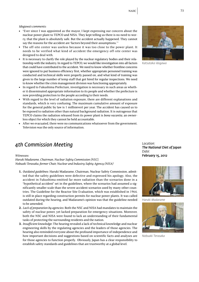#### *Idogawa's comments:*

- "Ever since I was appointed as the mayor, I kept expressing our concern about the nuclear power plant to TEPCO and NISA. They kept telling us there is no need to worry, that the plant is absolutely safe. But the accident actually happened. They cannot say the reasons for the accident are 'factors beyond their assumptions.'"
- The off-site center was useless because it was too close to the power plant. It needs to be verified what kind of accident the emergency off-site center was designed to deal with.
- It is necessary to clarify the role played by the nuclear regulatory bodies and their relationship with the industry. In regard to TEPCO, we would like investigation into all factors that could have contributed to the accident. We need to know whether frontline concerns were ignored to put business efficiency first, whether appropriate personnel training was conducted and technical skills were properly passed on, and what kind of training was given to the large number of temp staff that got hired for regular inspections. We need to know whether the crisis management division was functioning appropriately.
- In regard to Fukushima Prefecture, investigation is necessary in such areas as whether it disseminated appropriate information to its people and whether the prefecture is now providing protection to the people according to their needs.
- With regard to the level of radiation exposure, there are different explanations and standards, which is very confusing. The maximum cumulative amount of exposure for the general public by law is 1 millisievert per year. The accident has caused us to be exposed to radiation other than natural background radiation. It is outrageous that TEPCO claims the radiation released from its power plant is *bona vacantia*, an ownerless object for which they cannot be held accountable.
- After we evacuated, there were no communications whatsoever from the government. Television was the only source of information.

### *4th Commission Meeting*

#### *Witnesses:*

*Haruki Madarame, Chairman, Nuclear Safety Commission (NSC), Nobuaki Terasaka, former Chair, Nuclear and Industry Safety Agency (NISA)*

- **1.** *Outdated guidelines*: Haruki Madarame, Chairman, Nuclear Safety Commission, admitted that the safety guidelines were defective and expressed his apology. Also, the accident in Fukushima emitted far more radiation than the scenarios done in a "hypothetical accident" set in the guidelines, where the scenarios had assumed a significantly smaller scale than the severe accident scenarios used by many other countries. The Guideline for the Reactor Site Evaluation, which was established in 1964, is still in place regarding construction permits for nuclear power plants. It was called outdated during the hearing, and Madarame's opinion was that the guideline needed to be amended.
- **2.** *Lack of preparation by agencies*: Both the NSC and NISA had mandates to maintain the safety of nuclear power, yet lacked preparation for emergency situations. Moreover, both the NSC and NISA were found to lack an understanding of their fundamental tasks of protecting the surrounding residents and the nation.
- **3.** *Insufficient knowledge*: The hearing revealed a lack of technical knowledge and nuclear engineering skills by the regulating agencies and the leaders of those agencies. The hearing also reminded everyone about the profound importance of independence and how important decisions and suggestions based on scientific facts and analyses are for those agencies to function properly. Obviously, Japan has a clear responsibility to establish safety standards and guidelines that are trustworthy at a global level.

*Location: The National Diet of Japan Date: February 15, 2012*



*Haruki Madarame*



*Nobuaki Terasaka*



*Katsutaka Idogawa*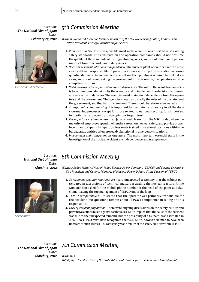*Location: The National Diet of Japan Date: February 27, 2012*



*Dr. Richard A Meserve*

# *5th Commission Meeting*

*Witness: Richard A Meserve, former Chairman of the U.S. Nuclear Regulatory Commission (NRC), President, Carnegie Institution for Science*

- **1.** *Proactive mindset*: Those responsible must make a continuous effort to raise existing safety standards. The construction and operation companies should not presume the quality of the standards of the regulatory agencies, and should not have a passive mind-set toward security and safety issues.
- **2.** *Operator responsibilities and independency:* The nuclear plant operators have the most clearly defined responsibility to prevent accidents and stop any escalation in consequential damages. In an emergency situation, the operator is required to make decisions, and should avoid asking the government. For this reason, the operators must be competent to do so.
- **3.** *Regulatory agencies responsibilities and independence*: The role of the regulatory agencies is to require sound decisions by the operator and to implement the decisions to prevent any escalation of damages. The agencies must maintain independence from the operators and the government. The agencies should also clarlfy the roles of the operator and the government, and the chain of command. These should be rehearsed repeatedly.
- **4.** *Transparent decision-making*: It is important to maintain transparency in all the decision-making processes, except for those related to national security. It is important for participants to openly provide opinions to gain trust.
- **5.** *The importance of human resources*: Japan should learn from the NRC model, where the majority of employees spend their entire careers on nuclear safety, and provide proper incentives to experts. In Japan, professionals trained in rotational positions within the bureaucratic entities often proved dysfunctional in emergency situations.
- **6.** *Independent and transparent investigations*: The most important essential traits in the investigation of the nuclear accident are independence and transparency.

*Location: National Diet of Japan Date: March 14, 2012*



*Sakae Muto*

### *6th Commission Meeting*

*Witness: Sakae Muto, Advisor of Tokyo Electric Power Company (TEPCO) and Former Executive Vice President and General Manager of Nuclear Power & Plant Siting Division of TEPCO*

- **1.** *Government-operator relations:* We heard unexpected testimony that the cabinet participated in discussions of technical matters regarding the nuclear reactors. Prime Minister Kan asked for the mobile phone number of the head of the plant at Fukushima, leaving the top management of TEPCO out of the loop.
- **2.** *TEPCO competency*: Muto stated that the operator was primarily responsible for the accident, but questions remain about TEPCO's competence in taking on this responsibility.
- **3.** *Lack of accident preparation:* There were ongoing discussions on the safety culture and preventive actions taken against earthquakes. Muto implied that the cause of the accident was due to the unexpected tsunami, but the possibility of a tsunami was estimated in 2002—so TEPCO must have recognized the risks. Muto, however, claimed to have been unaware of such studies. This obviously was a failure of the safety culture within TEPCO.

*Location: The National Diet of Japan Date: March 19, 2012*

# *7th Commission Meeting*

*Witnesses:*

*Volodymyr Holosha, Head of the State Agency of Ukraine for Exclusion Zone Management,*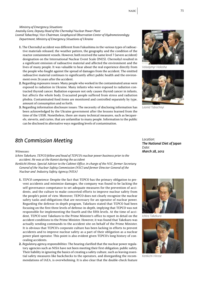*Ministry of Emergency Situations*

*Anatoliy Gora, Deputy Head of the Chernobyl Nuclear Power Plant Leonid Tabachnyi, Vice-Chairman, Geophysical Observation Center of Hydrometeorology Department, Ministry of Emergency Situations of Ukraine*

- **1.** The Chernobyl accident was different from Fukushima in the various types of radioactive materials released, the weather pattern, the geography and the condition of the reactor containment vessels. However, both received the same level 7 (severe accident) designation on the International Nuclear Event Scale (INES). Chernobyl resulted in a significant emission of radioactive material and affected the environment and the lives of many people. It was valuable to hear about the real experience directly from the people who fought against the spread of damages from the accident. The emitted radioactive material continues to significantly affect public health and the environment even 26 years after the accident.
- **2.** Regarding exposures issues: Many people who worked in the contaminated areas were exposed to radiation in Ukraine. Many infants who were exposed to radiation contracted thyroid cancer. Radiation exposure not only causes thyroid cancer in infants, but affects the whole body. Evacuated people suffered from stress and radiation phobia. Contaminated food items are monitored and controlled separately by type, amount of consumption and so forth.
- **3.** Regarding information disclosure issues: The necessity of disclosing information has been acknowledged by the Ukraine government after the lessons learned from the time of the USSR. Nonetheless, there are many technical measures, such as becquerels, sieverts, and curies, that are unfamiliar to many people. Information to the public can be disclosed in alternative ways regarding levels of contamination.

### *8th Commission Meeting*

*Witnesses:*

*Ichiro Takekuro, TEPCO fellow and head of TEPCO's nuclear power business prior to the accident. He was at the Kantei during the accident*

*Kenkichi Hirose, Special Adviser to the Cabinet Office, in charge of the NSC, former Secretary General of the Nuclear Safety Commission (NSC) and former Director General of the Nuclear and Industry Safety Agency (NISA)* 

- **1.** *TEPCO competence:* Despite the fact that TEPCO has the primary obligation to prevent accidents and minimize damages, the company was found to be lacking the self-governance competance to set adequate measures for the prevention of accidents, and the culture to make concerted efforts to improve nuclear safety from the people's point of view. Moreover, TEPCO does not clearly recognize the nuclear safety tasks and obligations that are necessary for an operator of nuclear power. Regarding the defense-in-depth program, Takekuro stated that TEPCO had been focusing on the first three levels of defense-in-depth, implying that TEPCO was not responsible for implementing the fourth and the fifth levels. At the time of accident, TEPCO sent Takekuro to the Prime Minister's office to report in detail on the accident conditions to the Prime Minister. However, it was found that Takekuro was actually sending commands to the accident site on behalf of the Prime Minister. It is obvious that TEPCO's corporate culture has been lacking in efforts to prevent accidents and to improve nuclear safety as a part of their obligation as a nuclear power plant operator. This point is also evident given TEPCO's long history of concealing accidents.
- **2.** *Regulatory agency responsibilities*: The hearing clarified that the nuclear power regulatory agencies such as NISA have not been meeting their first obligation: public safety. Their liability in ignoring the basics of creating a safety culture, such as leaving essential safety measures like backchecks to the operators, and disregarding the recommendations of IAEA, is overwhelming. It is also clear that the double-check feature

*Location: The National Diet of Japan Date: March 28, 2012*











*Volodymyr Holosha*



*Leonid Tabachnyi*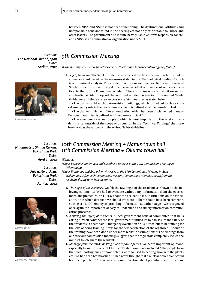between NISA and NSC has not been functioning. The dysfunctional attitudes and irresponsible behavior found in the hearing are not only attributable to Hirose and other leaders. The government also is quite heavily liable, as it was responsible for creating NISA as an administrative organization under METI.

*Location: The National Diet of Japan Date: April 18, 2012*



*Hiroyaki Fukano*

*Location: Nihonmatsu, Shimia Kaikan, Fukushima Pref. Date: April 21, 2012*

> *Location: University of Aizu, Fukushima Pref. Date: April 22, 2012*



*Mayor Baba*



*Mayor Watanabe*

### *9th Commission Meeting*

*Witness: Hiroyuki Fukano, Director General, Nuclear and Industry Safety Agency (NISA).* 

**1.** *Safety Guideline:* The Safety Guideline was revised by the government after the Fukushima accident based on the measures stated in the "Technological Findings" which is a provisional analysis. The accident conditions assumed explicitly in the revised Safety Guideline are narrowly defined as an accident with an event sequence identical to that of the Fukushima accident. There is no measure or definition set for a potential accident beyond the assumed accident scenario in the revised Safety Guideline, and there are few necessary safety measures as stated below.

• The plan to build earthquake-resistant buildings, which turned out to play a critical emergency role in the Fukushima accident, is defined as a "medium-term task."

• The plan to implement filtered ventilation, which has been implemented in many European countries, is defined as a "medium-term task."

• The emergency evacuation plan, which is most important to the safety of residents, is set outside of the scope of discussion in the "Technical Findings" that have been used as the rationale in the revised Safety Guideline.

#### *10th Commission Meeting + Namie town hall 11th Commission Meeting + Okuma town hall*

#### *Witnesses:*

*Mayor Baba of Namiemachi and six other witnesses at the 10th Commission Meeting in Nihonmatsu*

*Mayor Watanabe and four other witnesses at the 11th Commission Meeting in Aizu Wakamatsu. After each Commission meeting, Commission Members heard from the residents during town hall meetings.*

- **1.** *The anger of the evacuees*: We felt the raw anger of the residents as shown by the following comments: "We had to evacuate without any information from the government, the prefecture, or TEPCO about the accident itself, instructions on the evacuation, or in which direction we should evacuate." "There should have been someone, such as a TEPCO employee, providing information at earlier stage." We recognized once again the importance of easy-to-understand and timely information communication processes.
- **2.** *Assuring the safety of residents*: A local government official commented that he is asking himself "whether the local government fulfilled its role to assure the safety of the residents." Others said "Emergency evacuation drills turned out to be training for the sake of doing training. It was for the self-satisfaction of the organizer—shouldn't the training have been done under more realistic assumptions?" The findings from our previous commission meetings suggest that the regulators completely lacked the mindset to safeguard the residents.
- **3.** *Message from the towns hosting nuclear power plants*: We heard important opinions, especially from the people of Okuma. Notable comments included: "The people from the towns hosting nuclear power plants were so used to hearing 'how safe the plants are.' We had been brainwashed." "I had never thought that a nuclear power plant could become a problem." "There was no communication about potential issues which are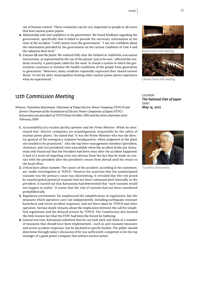out of human control." These comments can be very important to people in all towns that host nuclear power plants.

- **4.** *Relationship with and confidence in the government*: We heard feedback regarding the government, specifically that it failed to provide the necessary information at the time of the accident: "I still cannot trust the government," "I am not confident about the information provided by the government on the current condition of Unit 4 and the radiation dose level."
- **5.** *Evacuee life and the future*: We realized fully that the belated or indefinite evacuation instructions, as represented by the use of the phrase "just to be sure," affected the residents severely. A participant called for the need "to install a system in which the government continues to monitor the health conditions of the people from generation to generation." Moreover, many residents repeatedly expressed their shared earnest desire "to not let other municipalities hosting other nuclear power plants experience what we experienced."

### *12th Commission Meeting*

*Witness: Tsunehisa Katsumata, Chairman of Tokyo Electric Power Company (TEPCO) and former Chairman of the Foundation of Electric Power Companies of Japan (FEPC). Katsumata was president of TEPCO from October 2002 and has been chairman since February 2008*

- **1.** *Accountability of a nuclear facility operator and the Prime Minister*: While he mentioned that "electric companies are unambiguously responsible for the safety of nuclear power plants," he stated that "it was the Prime Minister who was the director-general of the emergency response headquarters, where judgment at the plant site needed to be prioritized." Also the top three management members (president, chairman, and vice president) were unavailable when the accident broke out. Katsumata only found out that the President had been away after the accident happened. A lack of a sense of impeding crisis was obvious from the fact that he made no contact with the president after the president's return from abroad until his return to the head office.
- **2.** *Critical facts about tsunami*: The causes of the accident, according to his statement, are "under investigation at TEPCO." However his assertion that the unanticipated tsunami was the primary cause was disorienting. It revealed that the risk posed by unanticipated potential tsunami had not been communicated internally to the president. It turned out that Katsumata had determined that "such tsunami would not happen in reality." It seems that the risk of tsunami had not been considered probabilistically.
- **3.** *Regulatory environment*: He emphasized the simplification of regulations, but the measures which operators carry out independently, including earthquake-resistant backcheck and severe accident responses, had not been taken by TEPCO and other operators. Serious doubt remains about the implication between the call for simplified regulations and the delayed actions by TEPCO. The Commission also learned the little-known fact that the FEPC had been the forum for lobbying.
- **4.** *General overview*: Katsumata admitted that he can look back and think of a number of measures that should have been implemented—such as anti-tsunami measures and severe accident responses, but he declined to specify further. The public should determine through today's discussion if he was sufficiently competent to be the top manager of a giant power company that utilizes nuclear power.



*Namie town hall meeting*



*Okuma town hall meeting*

*Location: The National Diet of Japan Date: May 14, 2012*



*Tsunehisa Katsumata*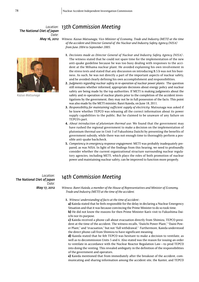*13th Commission Meeting Location: The National Diet of Japan Date: May 16, 2012*

*Kazuo Matsunaga*

*Witness: Kazuo Matsunaga, Vice-Minister of Economy, Trade and Industry (METI) at the time of the accident and Director General of the Nuclear and Industry Safety Agency (NISA) from June 2004 to September 2005.* 

- **1.** *Decisions made as Director General of Nuclear and Industry Safety Agency (NISA)* : The witness stated that he could not spare time for the implementation of the new anti-quake guideline because he was too busy dealing with responses to the accident at the Mihama nuclear plant. He avoided explaining his own involvement in the stress tests and stated that any discussion on introducing B.5.b was not his business. As such, he was not directly a part of the important aspects of nuclear safety, and he avoided clearly defining his own accomplishment and responsibilities.
- **2.** *Judgments regarding nuclear safety in re-operation of nuclear power plants:* The question still remains whether informed, appropriate decisions about energy policy and nuclear safety are being made by the top authorities. If METI is making judgments about the safety and re-operation of nuclear plants prior to the completion of the accident investigations by the government, they may not be in full possession of the facts. This point was also made by the METI minister, Banri Kaieda, on June 18, 2011.
- **3.** *Responsibility for maintaining sufficient supply of electricity*: Matsunaga was asked if he knew whether TEPCO was releasing all the correct information about its power supply capabilities to the public. But he claimed to be unaware of any failure on TEPCO's part.
- **4.** *About introduction of plutonium thermal use*: We found that the government may have rushed the regional government to make a decision on the implementation of plutonium thermal use in Unit 3 of Fukushima Daiichi by presenting the benefits of government subsidy, while there was not enough time to thoroughly perform a possible anti-quake backcheck.
- **5.** *Competency in emergency response engagement*: METI was probably inadequately prepared, as was NISA. In light of the findings from this hearing, we need to profoundly consider whether the current organizational structure surrounding nuclear regulatory agencies, including METI, which plays the roles of both promotion of nuclear power and maintaining nuclear safety, can be improved to function more properly.

*Location: The National Diet of Japan Date: May 17, 2012*

### *14th Commission Meeting*

*Witness: Banri Kaieda, a member of the House of Representatives and Minister of Economy, Trade and Industry (METI) at the time of the accident.* 

**1.** *Witness' understanding of facts at the time of accident :*

**a)** Kaieda stated that he feels responsible for the delay in declaring a Nuclear Emergency Situation and that it was because convincing the Prime Minister to do so took time. **b)** He did not know the reasons for then Prime Minister Kan's visit to Fukushima Dai-

ichi nor its purpose.

**c)** Kaieda received a phone call about evacuation directly from Shimizu, TEPCO president at the time of the accident. The witness recalls, "Daiichi Power Plant," "Daini Power Plant," and "evacuation," but not "full withdrawal." Furthermore, Kaieda understood the direct phone call from Shimizu to have significant meaning.

**d)** Kaieda stated that he felt TEPCO was hesitant to make a decision to ventilate, as well as to decommission Units 5 and 6. Also stated was the reason for issuing an order to ventilate in accordance with the Nuclear Reactor Regulation Law—to prod TEPCO into doing the venting. This revealed ambiguity in the definition of the responsibilities of the government and operators.

**e)** Kaieda mentioned that from immediately after the breakout of the accident, communicating and sharing information among the accident site, the Kantei, and TEPCO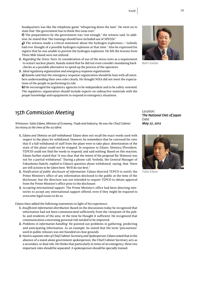headquarters was like the telephone game "whispering down the lane". He went on to state that "the government has to think this issue over."

**f)** The preparedness by the government was "not enough," the witness said. In addition, he stated that "the trainings should have included use of SPEEDI."

**g)** The witness made a critical statement about the hydrogen explosions—"nobody had ever thought of a possible hydrogen explosion at that time." Also he expressed his regrets that he was unable to prevent the hydrogen explosion. He felt the lessons from Three Mile Island were not utilized.

- **2.** *Regarding the Stress Tests*: In consideration of use of the stress tests as a requirement to restart nuclear plants, Kaieda stated that he did not even consider mandating backchecks as a possible alternative to speed up the process of the operators.
- **3.** *Ideal regulatory organization and emergency response organization:*

**a)** Kaieda said that the emergency response organization should be lean with all members understanding their own roles clearly. He thought NISA did not meet the expectations of the people in performing its role.

**b)** He encouraged the regulatory agencies to be independent and to be safety-oriented. The regulatory organization should include experts on radioactive materials with the proper knowledge and equipments to respond in emergency situations.

### *15th Commission Meeting*

*Witnesses: Yukio Edano, Minister of Economy, Trade and Industry. He was the Chief Cabinet Secretary at the time of the accident.*

- **1.** *Edano and Shimizu on full-withdrawal:* Edano does not recall the exact words used with respect to the plans for withdrawal. However, he remembers that he conveyed his view that if a full withdrawal of staff from the plant were to take place, deterioration of the state of the plant could not be stopped. In response to Edano, Shimizu (President, TEPCO) could not find the words to respond, and said nothing. Based on this reaction, Edano further stated that "it was clear that the intent of the proposal (by Shimizu) was not for a partial withdrawal." During a phone call, Yoshida, the General Manager of Fukushima Daiichi, replied to Edano's question about withdrawal, saying, that "there are still actions to be taken here. We'll do our best."
- **2.** *Notification of public disclosure of information*: Edano directed TEPCO to notify the Prime Minister's office of any information disclosed to the public at the time of the disclosure, but the direction was not intended to require TEPCO to obtain approval from the Prime Minister's office prior to the disclosure.
- **3.** *Accepting international support:* The Prime Minister's office had been directing ministries to accept any international support offered, even if they might be required to overcome legal issues to do so.

Edano then added the following statements in light of his experience:

- **1.** *Insufficient information distribution*: Based on the discussions today he recognized that information had not been communicated sufficiently from the viewpoint of the public and residents of the area. At the time he thought it sufficient. He recognized that communication concerning personal risk needed to be improved.
- **2.** *Problems in information handling*: He pointed out problems in gathering, predicting and anticipating information. As an example, he stated that the term "precautions" used in public releases was not founded on clear grounds.
- **3.** *Need to separate roles of Chief Cabinet Secretary and Spokesperson*: Edano noted that in the absence of a stand-alone government spokesperson, the Chief Cabinet Secretary acts as a secondary or dual role. He thinks that particularly in times of an emergency, these two important roles should be separated. A spokesperson should be specially trained.

*Location: The National Diet of Japan Date: May 27, 2012*



*Yukio Edano*

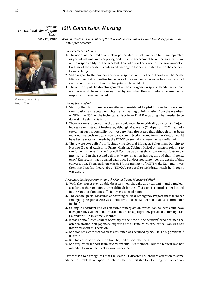*Location: The National Diet of Japan Date: May 28, 2012*



*Former prime minister Naoto Kan*

### *16th Commission Meeting*

*Witness: Naoto Kan, a member of the House of Representatives; Prime Minister of Japan at the time of the accident*

#### *Pre-accident conditions*

- **1.** The accident occurred at a nuclear power plant which had been built and operated as part of national nuclear policy, and thus the government bears the greatest share of the responsibility for the accident. Kan, who was the leader of the government at the time of the accident, apologized once again for being unable to stop the accident from evolving.
- **2.** With regard to the nuclear accident response, neither the authority of the Prime Minister nor that of the director general of the emergency response headquarters had ever been explained to Kan in detail prior to the accident.
- **3.** The authority of the director general of the emergency response headquarters had not necessarily been fully recognized by Kan when the comprehensive emergency response drill was conducted.

#### *During the accident*

- **1.** Visiting the plant managers on site was considered helpful for Kan to understand the situation, as he could not obtain any meaningful information from the members of NISA, the NSC, or the technical advisor from TEPCO regarding what needed to be done at Fukushima Daiichi.
- **2.** There was no awareness that the plant would reach its re-criticality as a result of injecting seawater instead of freshwater, although Madarame (Chairperson, NSC) had indicated that such a possibility was not zero. Kan also stated that although it has been reported that decisions (to suspend seawater injection) came from the Kantei, it could have been a statement made by the TEPCO personnel who were then at the Kantei.
- **3.** There were two calls from Yoshida (the General Manager, Fukushima Daiichi) to Hosono (Special Advisor to Prime Minister, Cabinet Office) on matters relating to the full withdrawal. In the first call Yoshida said that the situation was "extremely intense," and in the second call that "water injection has begun, and that it looked okay." Kan recalls that he called back once but does not remember the details of that conversation. Then, early on March 15, the minister of METI woke Kan and it was then that Kan first heard about TEPCO's proposal to withdraw, which he thought was absurd.

#### *Responses by the government and the Kantei (Prime Minister's Office):*

- **1.** With the largest ever double disasters—earthquake and tsunami—and a nuclear accident at the same time, it was difficult for the off-site crisis control center located in the Kantei to function sufficiently as a control room.
- **2.** The Act on Special Measures Concerning Nuclear Emergency Preparedness (Nuclear Emergency Response Act) was ineffective, and the Kantei had to act as commander in chief.
- **3.** Calling the accident site was an extraordinary action, which Kan believes could have been possibly avoided if information had been appropriately provided to him by TEP-CO and/or NISA in a timely manner.
- **4.** It was Edano (Chief Cabinet Secretary at the time of the accident) who declined the offer to station non-Japanese experts at the Prime Minister's office. Kan was not informed about this decision.
- **5.** Kan was not aware that overseas assistance was declined by NSC. It is a big problem if it is true.
- **6.** Kan took diverse advice, even from beyond official channels.
- **7.** Kan requested support from several specific Diet members, but the request was not intended to make them act as an advisory team.

*Future tasks:* Kan recognizes that the March 11 disaster has brought attention to some fundamental problems of Japan. He believes that the first step to reforming the nuclear pol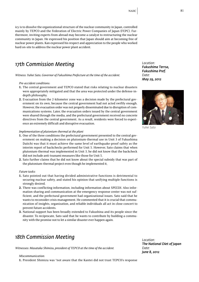icy is to dissolve the organizational structure of the nuclear community in Japan, controlled mainly by TEPCO and the Federation of Electric Power Companies of Japan (FEPC). Furthermore, inviting experts from abroad may become a catalyst to restructuring the nuclear community in Japan. He expressed his position that Japan should aim at becoming free of nuclear power plants. Kan expressed his respect and appreciation to the people who worked hard on-site to address the nuclear power plant accident.

## *17th Commission Meeting*

*Witness: Yuhei Sato, Governor of Fukushima Prefecture at the time of the accident.* 

#### *Pre-accident conditions:*

- **1.** The central government and TEPCO stated that risks relating to nuclear disasters were appropriately mitigated and that the area was protected under the defense-indepth philosophy.
- **2.** Evacuation from the 2-kilometer zone was a decision made by the prefectural government on its own, because the central government had not acted swiftly enough. However, the evacuation order was not properly disseminated due to disruption of communications systems. Later, the evacuation orders issued by the central government were shared through the media, and the prefectural government received no concrete directives from the central government. As a result, residents were forced to experience an extremely difficult and disruptive evacuation.

#### *Implementation of plutonium-thermal at the plant*

- **1.** One of the three conditions the prefectural government presented to the central government on making a decision on plutonium-thermal use in Unit 3 of Fukushima Daiichi was that it must achieve the same level of earthquake-proof safety as the interim report of backchecks performed for Unit 5. However, Sato claims that when plutonium-thermal was implemented in Unit 3, he did not know that the backcheck did not include anti-tsunami measures like those for Unit 5.
- **2.** Sato further claims that he did not know about the special subsidy that was part of the plutonium-thermal project even though he implemented it,

#### *Future tasks:*

- **1.** Sato pointed out that having divided administrative functions is detrimental to securing nuclear safety, and stated his opinion that unifying multiple functions is strongly desired.
- **2.** There was conflicting information, including information about SPEEDI. Also information sharing and communication at the emergency response center was not sufficient, and the prefectural government had organizational issues. Sato said that he wants to reconsider crisis management. He commented that it is crucial that communication of insights, organization, and reliable individuals all act in close concert to prevent future accidents.
- **3.** National support has been broadly extended to Fukushina and its people since the disaster. To reciprocate, Sato said that he wants to contribute by building a community with the promise not to let a similar disaster ever happen again.

### *18th Commission Meeting*

*Witnesses: Masataka Shimizu, president of TEPCO at the time of the accident.*

#### *Miscommunication:*

**1.** President Shimizu was "not aware that the Kantei did not trust TEPCO's response

*Location: Fukushima Terrsa, Fukushima Pref. Date: May 29, 2012*



*Yuhei Sato*

*Location: The National Diet of Japan Date: June 8, 2012*